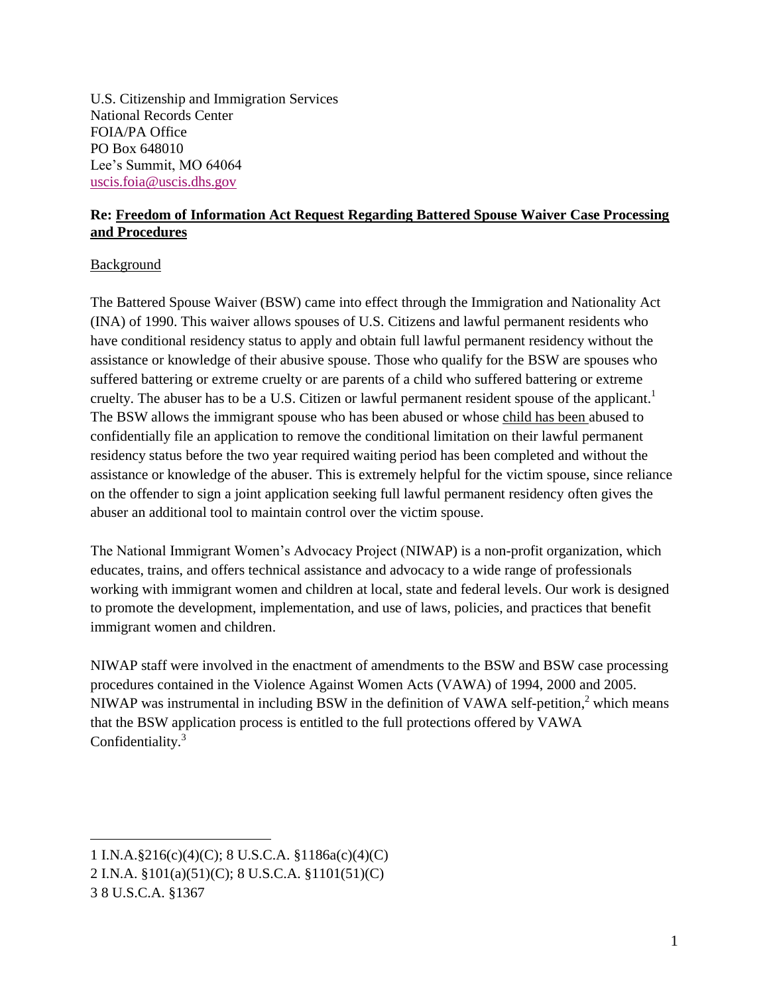U.S. Citizenship and Immigration Services National Records Center FOIA/PA Office PO Box 648010 Lee's Summit, MO 64064 [uscis.foia@uscis.dhs.gov](mailto:uscis.foia@dhs.gov)

## **Re: Freedom of Information Act Request Regarding Battered Spouse Waiver Case Processing and Procedures**

## Background

 $\overline{a}$ 

The Battered Spouse Waiver (BSW) came into effect through the Immigration and Nationality Act (INA) of 1990. This waiver allows spouses of U.S. Citizens and lawful permanent residents who have conditional residency status to apply and obtain full lawful permanent residency without the assistance or knowledge of their abusive spouse. Those who qualify for the BSW are spouses who suffered battering or extreme cruelty or are parents of a child who suffered battering or extreme cruelty. The abuser has to be a U.S. Citizen or lawful permanent resident spouse of the applicant.<sup>1</sup> The BSW allows the immigrant spouse who has been abused or whose child has been abused to confidentially file an application to remove the conditional limitation on their lawful permanent residency status before the two year required waiting period has been completed and without the assistance or knowledge of the abuser. This is extremely helpful for the victim spouse, since reliance on the offender to sign a joint application seeking full lawful permanent residency often gives the abuser an additional tool to maintain control over the victim spouse.

The National Immigrant Women's Advocacy Project (NIWAP) is a non-profit organization, which educates, trains, and offers technical assistance and advocacy to a wide range of professionals working with immigrant women and children at local, state and federal levels. Our work is designed to promote the development, implementation, and use of laws, policies, and practices that benefit immigrant women and children.

NIWAP staff were involved in the enactment of amendments to the BSW and BSW case processing procedures contained in the Violence Against Women Acts (VAWA) of 1994, 2000 and 2005. NIWAP was instrumental in including BSW in the definition of VAWA self-petition,<sup>2</sup> which means that the BSW application process is entitled to the full protections offered by VAWA Confidentiality.<sup>3</sup>

<sup>1</sup> I.N.A.§216(c)(4)(C); 8 U.S.C.A. §1186a(c)(4)(C) 2 I.N.A. §101(a)(51)(C); 8 U.S.C.A. §1101(51)(C) 3 8 U.S.C.A. §1367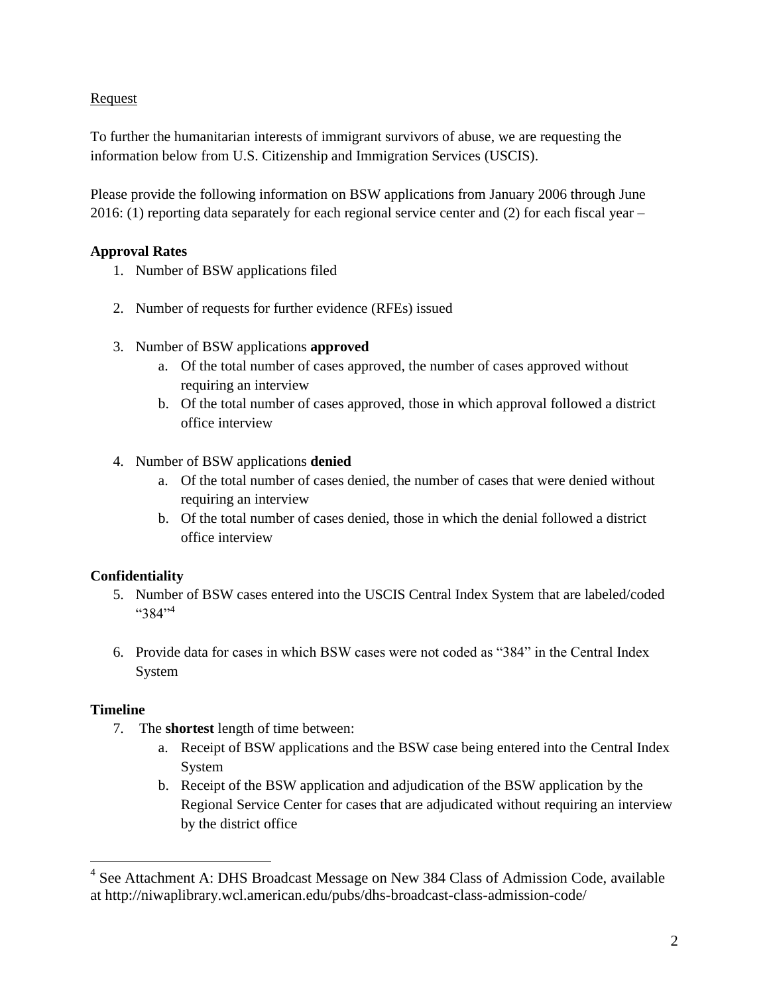## Request

To further the humanitarian interests of immigrant survivors of abuse, we are requesting the information below from U.S. Citizenship and Immigration Services (USCIS).

Please provide the following information on BSW applications from January 2006 through June 2016: (1) reporting data separately for each regional service center and (2) for each fiscal year –

## **Approval Rates**

- 1. Number of BSW applications filed
- 2. Number of requests for further evidence (RFEs) issued
- 3. Number of BSW applications **approved**
	- a. Of the total number of cases approved, the number of cases approved without requiring an interview
	- b. Of the total number of cases approved, those in which approval followed a district office interview

## 4. Number of BSW applications **denied**

- a. Of the total number of cases denied, the number of cases that were denied without requiring an interview
- b. Of the total number of cases denied, those in which the denial followed a district office interview

# **Confidentiality**

- 5. Number of BSW cases entered into the USCIS Central Index System that are labeled/coded  $4.384$ <sup>.,4</sup>
- 6. Provide data for cases in which BSW cases were not coded as "384" in the Central Index System

# **Timeline**

 $\overline{a}$ 

- 7. The **shortest** length of time between:
	- a. Receipt of BSW applications and the BSW case being entered into the Central Index System
	- b. Receipt of the BSW application and adjudication of the BSW application by the Regional Service Center for cases that are adjudicated without requiring an interview by the district office

<sup>&</sup>lt;sup>4</sup> See Attachment A: DHS Broadcast Message on New 384 Class of Admission Code, available at http://niwaplibrary.wcl.american.edu/pubs/dhs-broadcast-class-admission-code/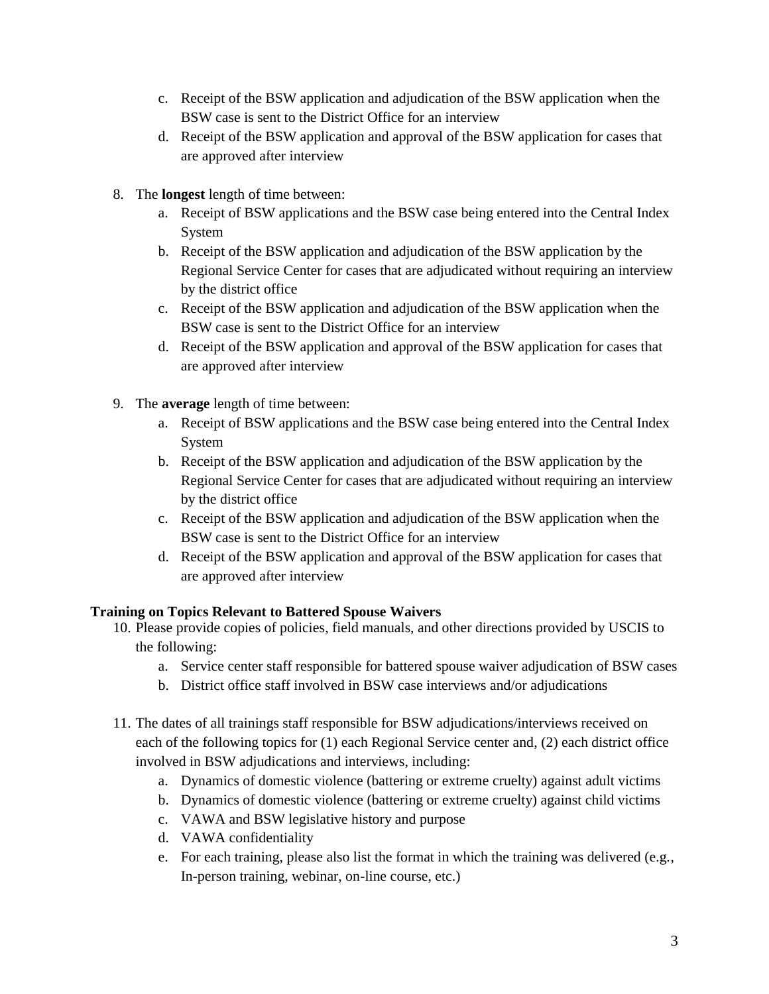- c. Receipt of the BSW application and adjudication of the BSW application when the BSW case is sent to the District Office for an interview
- d. Receipt of the BSW application and approval of the BSW application for cases that are approved after interview
- 8. The **longest** length of time between:
	- a. Receipt of BSW applications and the BSW case being entered into the Central Index System
	- b. Receipt of the BSW application and adjudication of the BSW application by the Regional Service Center for cases that are adjudicated without requiring an interview by the district office
	- c. Receipt of the BSW application and adjudication of the BSW application when the BSW case is sent to the District Office for an interview
	- d. Receipt of the BSW application and approval of the BSW application for cases that are approved after interview
- 9. The **average** length of time between:
	- a. Receipt of BSW applications and the BSW case being entered into the Central Index System
	- b. Receipt of the BSW application and adjudication of the BSW application by the Regional Service Center for cases that are adjudicated without requiring an interview by the district office
	- c. Receipt of the BSW application and adjudication of the BSW application when the BSW case is sent to the District Office for an interview
	- d. Receipt of the BSW application and approval of the BSW application for cases that are approved after interview

# **Training on Topics Relevant to Battered Spouse Waivers**

- 10. Please provide copies of policies, field manuals, and other directions provided by USCIS to the following:
	- a. Service center staff responsible for battered spouse waiver adjudication of BSW cases
	- b. District office staff involved in BSW case interviews and/or adjudications
- 11. The dates of all trainings staff responsible for BSW adjudications/interviews received on each of the following topics for (1) each Regional Service center and, (2) each district office involved in BSW adjudications and interviews, including:
	- a. Dynamics of domestic violence (battering or extreme cruelty) against adult victims
	- b. Dynamics of domestic violence (battering or extreme cruelty) against child victims
	- c. VAWA and BSW legislative history and purpose
	- d. VAWA confidentiality
	- e. For each training, please also list the format in which the training was delivered (e.g., In-person training, webinar, on-line course, etc.)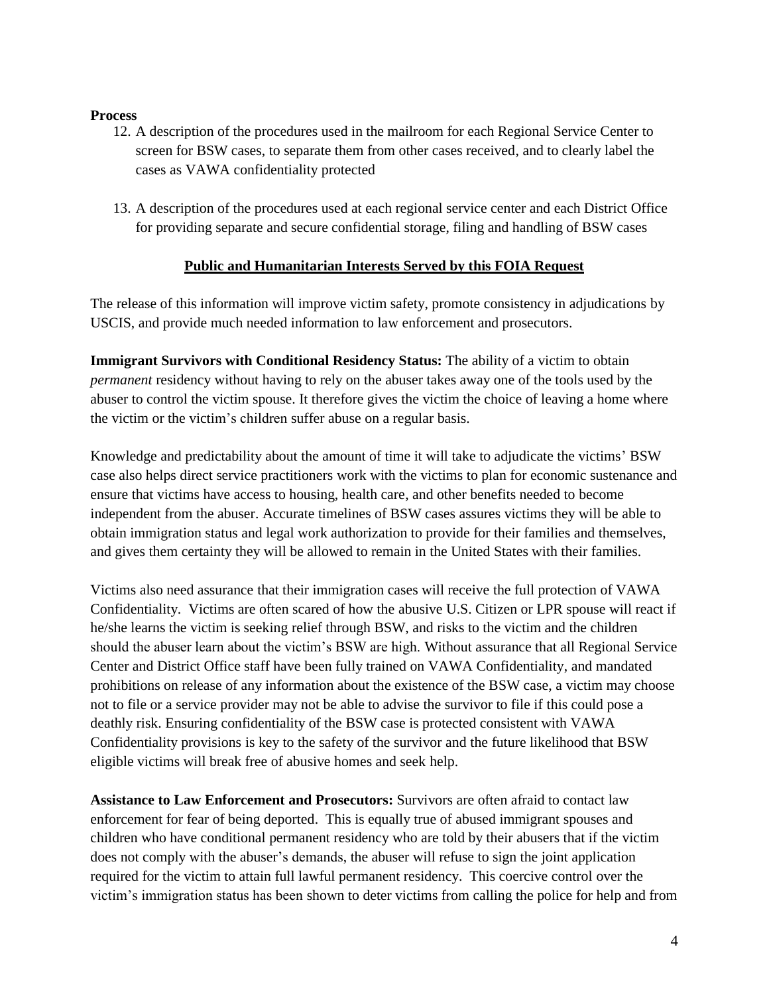#### **Process**

- 12. A description of the procedures used in the mailroom for each Regional Service Center to screen for BSW cases, to separate them from other cases received, and to clearly label the cases as VAWA confidentiality protected
- 13. A description of the procedures used at each regional service center and each District Office for providing separate and secure confidential storage, filing and handling of BSW cases

## **Public and Humanitarian Interests Served by this FOIA Request**

The release of this information will improve victim safety, promote consistency in adjudications by USCIS, and provide much needed information to law enforcement and prosecutors.

**Immigrant Survivors with Conditional Residency Status:** The ability of a victim to obtain *permanent* residency without having to rely on the abuser takes away one of the tools used by the abuser to control the victim spouse. It therefore gives the victim the choice of leaving a home where the victim or the victim's children suffer abuse on a regular basis.

Knowledge and predictability about the amount of time it will take to adjudicate the victims' BSW case also helps direct service practitioners work with the victims to plan for economic sustenance and ensure that victims have access to housing, health care, and other benefits needed to become independent from the abuser. Accurate timelines of BSW cases assures victims they will be able to obtain immigration status and legal work authorization to provide for their families and themselves, and gives them certainty they will be allowed to remain in the United States with their families.

Victims also need assurance that their immigration cases will receive the full protection of VAWA Confidentiality. Victims are often scared of how the abusive U.S. Citizen or LPR spouse will react if he/she learns the victim is seeking relief through BSW, and risks to the victim and the children should the abuser learn about the victim's BSW are high. Without assurance that all Regional Service Center and District Office staff have been fully trained on VAWA Confidentiality, and mandated prohibitions on release of any information about the existence of the BSW case, a victim may choose not to file or a service provider may not be able to advise the survivor to file if this could pose a deathly risk. Ensuring confidentiality of the BSW case is protected consistent with VAWA Confidentiality provisions is key to the safety of the survivor and the future likelihood that BSW eligible victims will break free of abusive homes and seek help.

**Assistance to Law Enforcement and Prosecutors:** Survivors are often afraid to contact law enforcement for fear of being deported. This is equally true of abused immigrant spouses and children who have conditional permanent residency who are told by their abusers that if the victim does not comply with the abuser's demands, the abuser will refuse to sign the joint application required for the victim to attain full lawful permanent residency. This coercive control over the victim's immigration status has been shown to deter victims from calling the police for help and from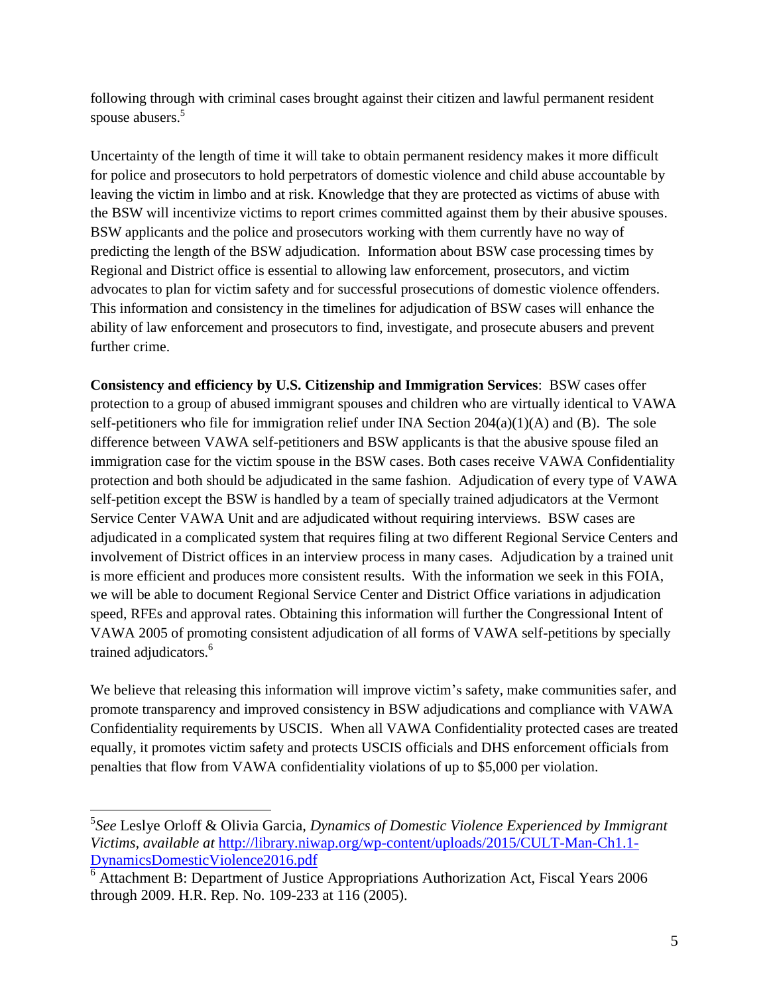following through with criminal cases brought against their citizen and lawful permanent resident spouse abusers.<sup>5</sup>

Uncertainty of the length of time it will take to obtain permanent residency makes it more difficult for police and prosecutors to hold perpetrators of domestic violence and child abuse accountable by leaving the victim in limbo and at risk. Knowledge that they are protected as victims of abuse with the BSW will incentivize victims to report crimes committed against them by their abusive spouses. BSW applicants and the police and prosecutors working with them currently have no way of predicting the length of the BSW adjudication. Information about BSW case processing times by Regional and District office is essential to allowing law enforcement, prosecutors, and victim advocates to plan for victim safety and for successful prosecutions of domestic violence offenders. This information and consistency in the timelines for adjudication of BSW cases will enhance the ability of law enforcement and prosecutors to find, investigate, and prosecute abusers and prevent further crime.

**Consistency and efficiency by U.S. Citizenship and Immigration Services**: BSW cases offer protection to a group of abused immigrant spouses and children who are virtually identical to VAWA self-petitioners who file for immigration relief under INA Section  $204(a)(1)(A)$  and (B). The sole difference between VAWA self-petitioners and BSW applicants is that the abusive spouse filed an immigration case for the victim spouse in the BSW cases. Both cases receive VAWA Confidentiality protection and both should be adjudicated in the same fashion. Adjudication of every type of VAWA self-petition except the BSW is handled by a team of specially trained adjudicators at the Vermont Service Center VAWA Unit and are adjudicated without requiring interviews. BSW cases are adjudicated in a complicated system that requires filing at two different Regional Service Centers and involvement of District offices in an interview process in many cases. Adjudication by a trained unit is more efficient and produces more consistent results. With the information we seek in this FOIA, we will be able to document Regional Service Center and District Office variations in adjudication speed, RFEs and approval rates. Obtaining this information will further the Congressional Intent of VAWA 2005 of promoting consistent adjudication of all forms of VAWA self-petitions by specially trained adjudicators.<sup>6</sup>

We believe that releasing this information will improve victim's safety, make communities safer, and promote transparency and improved consistency in BSW adjudications and compliance with VAWA Confidentiality requirements by USCIS. When all VAWA Confidentiality protected cases are treated equally, it promotes victim safety and protects USCIS officials and DHS enforcement officials from penalties that flow from VAWA confidentiality violations of up to \$5,000 per violation.

 $\overline{a}$ 

<sup>5</sup> *See* Leslye Orloff & Olivia Garcia, *Dynamics of Domestic Violence Experienced by Immigrant Victims, available at* [http://library.niwap.org/wp-content/uploads/2015/CULT-Man-Ch1.1-](http://library.niwap.org/wp-content/uploads/2015/CULT-Man-Ch1.1-DynamicsDomesticViolence2016.pdf) [DynamicsDomesticViolence2016.pdf](http://library.niwap.org/wp-content/uploads/2015/CULT-Man-Ch1.1-DynamicsDomesticViolence2016.pdf)

<sup>6</sup> Attachment B: Department of Justice Appropriations Authorization Act, Fiscal Years 2006 through 2009. H.R. Rep. No. 109-233 at 116 (2005).